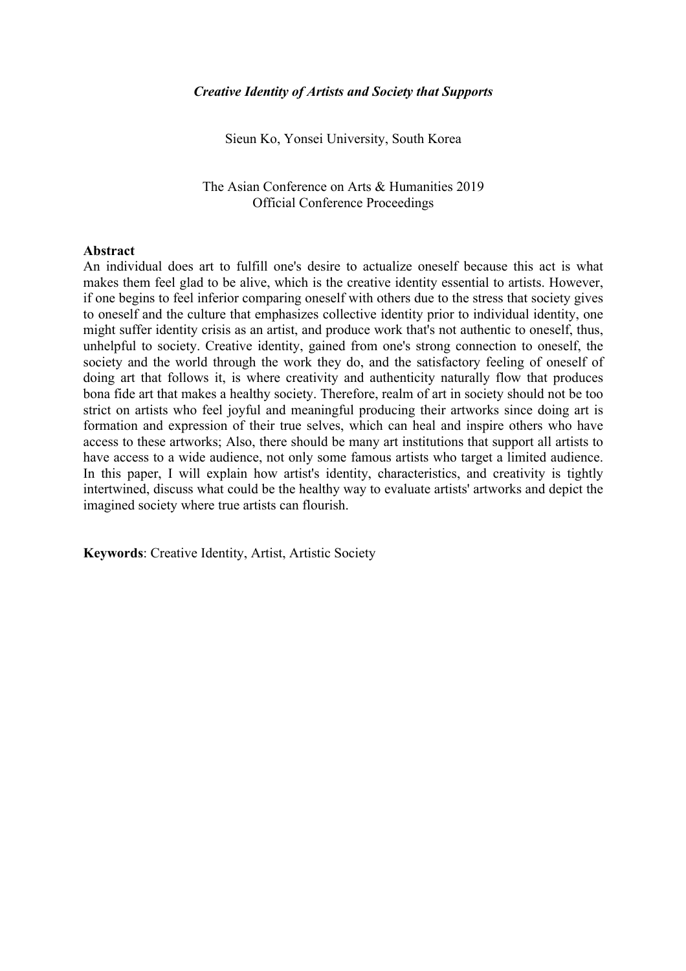Sieun Ko, Yonsei University, South Korea

The Asian Conference on Arts & Humanities 2019 Official Conference Proceedings

#### **Abstract**

An individual does art to fulfill one's desire to actualize oneself because this act is what makes them feel glad to be alive, which is the creative identity essential to artists. However, if one begins to feel inferior comparing oneself with others due to the stress that society gives to oneself and the culture that emphasizes collective identity prior to individual identity, one might suffer identity crisis as an artist, and produce work that's not authentic to oneself, thus, unhelpful to society. Creative identity, gained from one's strong connection to oneself, the society and the world through the work they do, and the satisfactory feeling of oneself of doing art that follows it, is where creativity and authenticity naturally flow that produces bona fide art that makes a healthy society. Therefore, realm of art in society should not be too strict on artists who feel joyful and meaningful producing their artworks since doing art is formation and expression of their true selves, which can heal and inspire others who have access to these artworks; Also, there should be many art institutions that support all artists to have access to a wide audience, not only some famous artists who target a limited audience. In this paper, I will explain how artist's identity, characteristics, and creativity is tightly intertwined, discuss what could be the healthy way to evaluate artists' artworks and depict the imagined society where true artists can flourish.

**Keywords**: Creative Identity, Artist, Artistic Society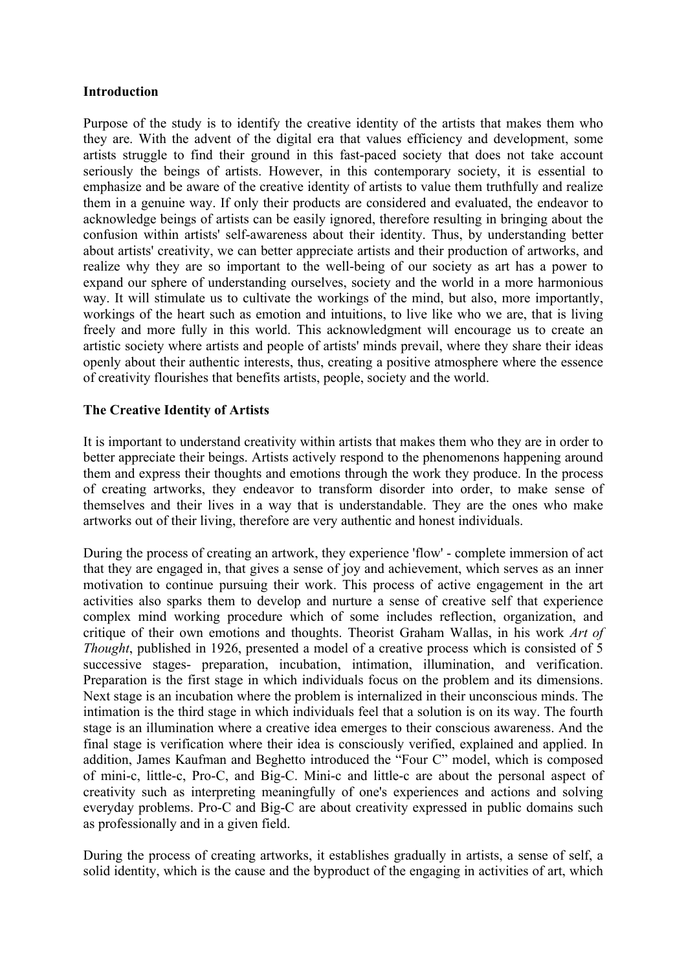### **Introduction**

Purpose of the study is to identify the creative identity of the artists that makes them who they are. With the advent of the digital era that values efficiency and development, some artists struggle to find their ground in this fast-paced society that does not take account seriously the beings of artists. However, in this contemporary society, it is essential to emphasize and be aware of the creative identity of artists to value them truthfully and realize them in a genuine way. If only their products are considered and evaluated, the endeavor to acknowledge beings of artists can be easily ignored, therefore resulting in bringing about the confusion within artists' self-awareness about their identity. Thus, by understanding better about artists' creativity, we can better appreciate artists and their production of artworks, and realize why they are so important to the well-being of our society as art has a power to expand our sphere of understanding ourselves, society and the world in a more harmonious way. It will stimulate us to cultivate the workings of the mind, but also, more importantly, workings of the heart such as emotion and intuitions, to live like who we are, that is living freely and more fully in this world. This acknowledgment will encourage us to create an artistic society where artists and people of artists' minds prevail, where they share their ideas openly about their authentic interests, thus, creating a positive atmosphere where the essence of creativity flourishes that benefits artists, people, society and the world.

# **The Creative Identity of Artists**

It is important to understand creativity within artists that makes them who they are in order to better appreciate their beings. Artists actively respond to the phenomenons happening around them and express their thoughts and emotions through the work they produce. In the process of creating artworks, they endeavor to transform disorder into order, to make sense of themselves and their lives in a way that is understandable. They are the ones who make artworks out of their living, therefore are very authentic and honest individuals.

During the process of creating an artwork, they experience 'flow' - complete immersion of act that they are engaged in, that gives a sense of joy and achievement, which serves as an inner motivation to continue pursuing their work. This process of active engagement in the art activities also sparks them to develop and nurture a sense of creative self that experience complex mind working procedure which of some includes reflection, organization, and critique of their own emotions and thoughts. Theorist Graham Wallas, in his work *Art of Thought*, published in 1926, presented a model of a creative process which is consisted of 5 successive stages- preparation, incubation, intimation, illumination, and verification. Preparation is the first stage in which individuals focus on the problem and its dimensions. Next stage is an incubation where the problem is internalized in their unconscious minds. The intimation is the third stage in which individuals feel that a solution is on its way. The fourth stage is an illumination where a creative idea emerges to their conscious awareness. And the final stage is verification where their idea is consciously verified, explained and applied. In addition, James Kaufman and Beghetto introduced the "Four C" model, which is composed of mini-c, little-c, Pro-C, and Big-C. Mini-c and little-c are about the personal aspect of creativity such as interpreting meaningfully of one's experiences and actions and solving everyday problems. Pro-C and Big-C are about creativity expressed in public domains such as professionally and in a given field.

During the process of creating artworks, it establishes gradually in artists, a sense of self, a solid identity, which is the cause and the byproduct of the engaging in activities of art, which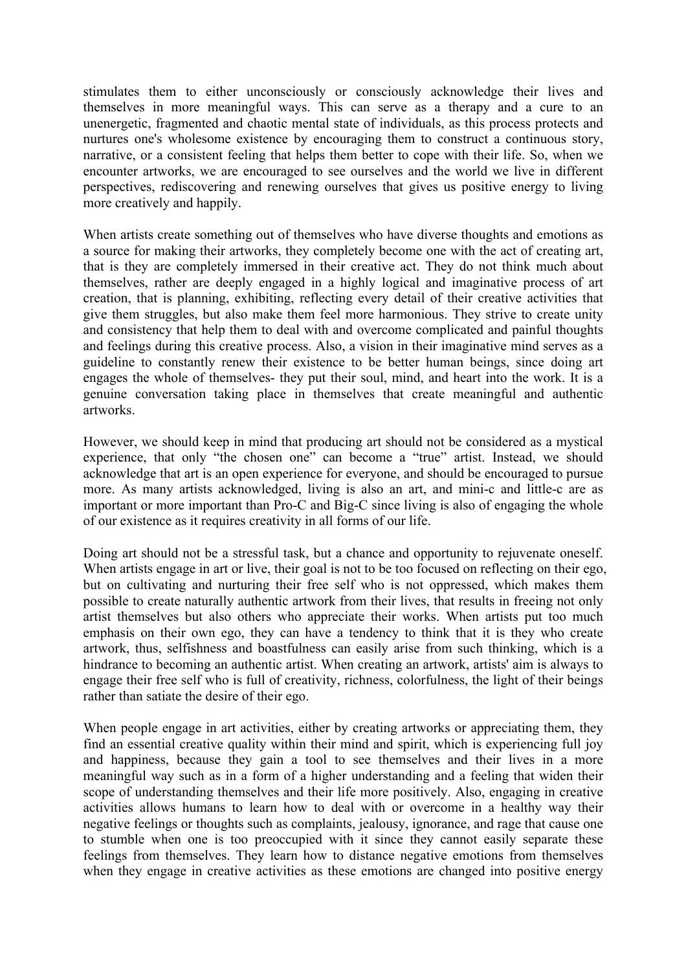stimulates them to either unconsciously or consciously acknowledge their lives and themselves in more meaningful ways. This can serve as a therapy and a cure to an unenergetic, fragmented and chaotic mental state of individuals, as this process protects and nurtures one's wholesome existence by encouraging them to construct a continuous story, narrative, or a consistent feeling that helps them better to cope with their life. So, when we encounter artworks, we are encouraged to see ourselves and the world we live in different perspectives, rediscovering and renewing ourselves that gives us positive energy to living more creatively and happily.

When artists create something out of themselves who have diverse thoughts and emotions as a source for making their artworks, they completely become one with the act of creating art, that is they are completely immersed in their creative act. They do not think much about themselves, rather are deeply engaged in a highly logical and imaginative process of art creation, that is planning, exhibiting, reflecting every detail of their creative activities that give them struggles, but also make them feel more harmonious. They strive to create unity and consistency that help them to deal with and overcome complicated and painful thoughts and feelings during this creative process. Also, a vision in their imaginative mind serves as a guideline to constantly renew their existence to be better human beings, since doing art engages the whole of themselves- they put their soul, mind, and heart into the work. It is a genuine conversation taking place in themselves that create meaningful and authentic artworks.

However, we should keep in mind that producing art should not be considered as a mystical experience, that only "the chosen one" can become a "true" artist. Instead, we should acknowledge that art is an open experience for everyone, and should be encouraged to pursue more. As many artists acknowledged, living is also an art, and mini-c and little-c are as important or more important than Pro-C and Big-C since living is also of engaging the whole of our existence as it requires creativity in all forms of our life.

Doing art should not be a stressful task, but a chance and opportunity to rejuvenate oneself. When artists engage in art or live, their goal is not to be too focused on reflecting on their ego. but on cultivating and nurturing their free self who is not oppressed, which makes them possible to create naturally authentic artwork from their lives, that results in freeing not only artist themselves but also others who appreciate their works. When artists put too much emphasis on their own ego, they can have a tendency to think that it is they who create artwork, thus, selfishness and boastfulness can easily arise from such thinking, which is a hindrance to becoming an authentic artist. When creating an artwork, artists' aim is always to engage their free self who is full of creativity, richness, colorfulness, the light of their beings rather than satiate the desire of their ego.

When people engage in art activities, either by creating artworks or appreciating them, they find an essential creative quality within their mind and spirit, which is experiencing full joy and happiness, because they gain a tool to see themselves and their lives in a more meaningful way such as in a form of a higher understanding and a feeling that widen their scope of understanding themselves and their life more positively. Also, engaging in creative activities allows humans to learn how to deal with or overcome in a healthy way their negative feelings or thoughts such as complaints, jealousy, ignorance, and rage that cause one to stumble when one is too preoccupied with it since they cannot easily separate these feelings from themselves. They learn how to distance negative emotions from themselves when they engage in creative activities as these emotions are changed into positive energy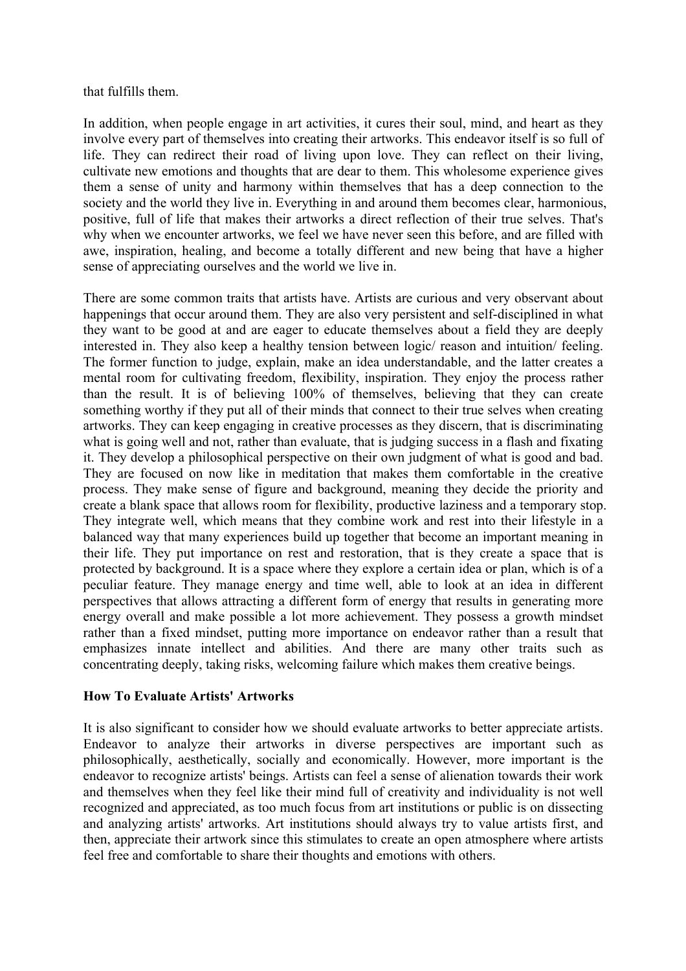### that fulfills them.

In addition, when people engage in art activities, it cures their soul, mind, and heart as they involve every part of themselves into creating their artworks. This endeavor itself is so full of life. They can redirect their road of living upon love. They can reflect on their living, cultivate new emotions and thoughts that are dear to them. This wholesome experience gives them a sense of unity and harmony within themselves that has a deep connection to the society and the world they live in. Everything in and around them becomes clear, harmonious, positive, full of life that makes their artworks a direct reflection of their true selves. That's why when we encounter artworks, we feel we have never seen this before, and are filled with awe, inspiration, healing, and become a totally different and new being that have a higher sense of appreciating ourselves and the world we live in.

There are some common traits that artists have. Artists are curious and very observant about happenings that occur around them. They are also very persistent and self-disciplined in what they want to be good at and are eager to educate themselves about a field they are deeply interested in. They also keep a healthy tension between logic/ reason and intuition/ feeling. The former function to judge, explain, make an idea understandable, and the latter creates a mental room for cultivating freedom, flexibility, inspiration. They enjoy the process rather than the result. It is of believing 100% of themselves, believing that they can create something worthy if they put all of their minds that connect to their true selves when creating artworks. They can keep engaging in creative processes as they discern, that is discriminating what is going well and not, rather than evaluate, that is judging success in a flash and fixating it. They develop a philosophical perspective on their own judgment of what is good and bad. They are focused on now like in meditation that makes them comfortable in the creative process. They make sense of figure and background, meaning they decide the priority and create a blank space that allows room for flexibility, productive laziness and a temporary stop. They integrate well, which means that they combine work and rest into their lifestyle in a balanced way that many experiences build up together that become an important meaning in their life. They put importance on rest and restoration, that is they create a space that is protected by background. It is a space where they explore a certain idea or plan, which is of a peculiar feature. They manage energy and time well, able to look at an idea in different perspectives that allows attracting a different form of energy that results in generating more energy overall and make possible a lot more achievement. They possess a growth mindset rather than a fixed mindset, putting more importance on endeavor rather than a result that emphasizes innate intellect and abilities. And there are many other traits such as concentrating deeply, taking risks, welcoming failure which makes them creative beings.

### **How To Evaluate Artists' Artworks**

It is also significant to consider how we should evaluate artworks to better appreciate artists. Endeavor to analyze their artworks in diverse perspectives are important such as philosophically, aesthetically, socially and economically. However, more important is the endeavor to recognize artists' beings. Artists can feel a sense of alienation towards their work and themselves when they feel like their mind full of creativity and individuality is not well recognized and appreciated, as too much focus from art institutions or public is on dissecting and analyzing artists' artworks. Art institutions should always try to value artists first, and then, appreciate their artwork since this stimulates to create an open atmosphere where artists feel free and comfortable to share their thoughts and emotions with others.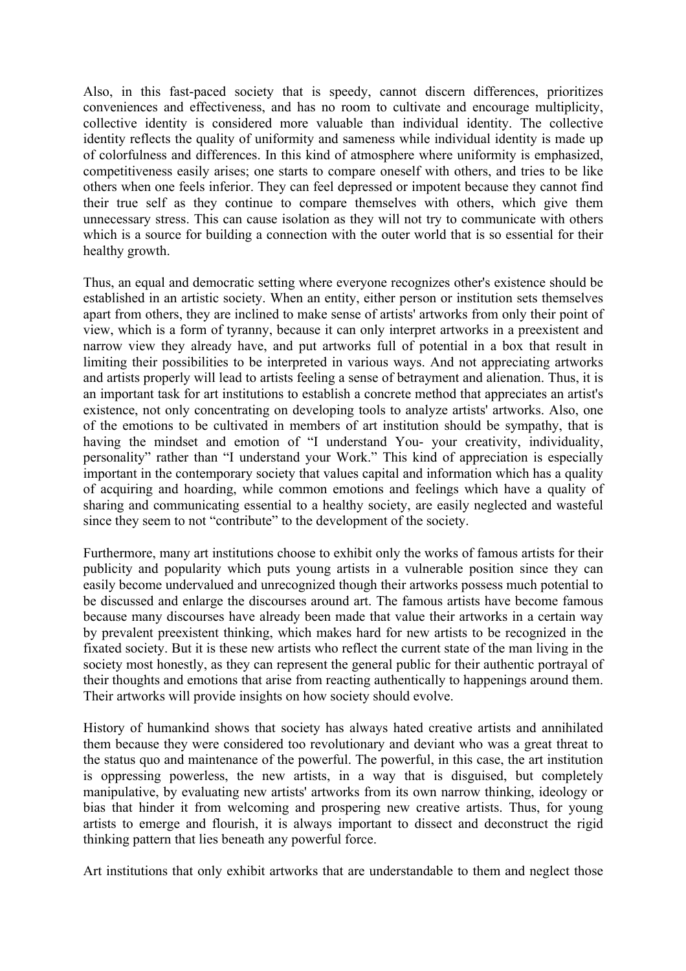Also, in this fast-paced society that is speedy, cannot discern differences, prioritizes conveniences and effectiveness, and has no room to cultivate and encourage multiplicity, collective identity is considered more valuable than individual identity. The collective identity reflects the quality of uniformity and sameness while individual identity is made up of colorfulness and differences. In this kind of atmosphere where uniformity is emphasized, competitiveness easily arises; one starts to compare oneself with others, and tries to be like others when one feels inferior. They can feel depressed or impotent because they cannot find their true self as they continue to compare themselves with others, which give them unnecessary stress. This can cause isolation as they will not try to communicate with others which is a source for building a connection with the outer world that is so essential for their healthy growth.

Thus, an equal and democratic setting where everyone recognizes other's existence should be established in an artistic society. When an entity, either person or institution sets themselves apart from others, they are inclined to make sense of artists' artworks from only their point of view, which is a form of tyranny, because it can only interpret artworks in a preexistent and narrow view they already have, and put artworks full of potential in a box that result in limiting their possibilities to be interpreted in various ways. And not appreciating artworks and artists properly will lead to artists feeling a sense of betrayment and alienation. Thus, it is an important task for art institutions to establish a concrete method that appreciates an artist's existence, not only concentrating on developing tools to analyze artists' artworks. Also, one of the emotions to be cultivated in members of art institution should be sympathy, that is having the mindset and emotion of "I understand You- your creativity, individuality, personality" rather than "I understand your Work." This kind of appreciation is especially important in the contemporary society that values capital and information which has a quality of acquiring and hoarding, while common emotions and feelings which have a quality of sharing and communicating essential to a healthy society, are easily neglected and wasteful since they seem to not "contribute" to the development of the society.

Furthermore, many art institutions choose to exhibit only the works of famous artists for their publicity and popularity which puts young artists in a vulnerable position since they can easily become undervalued and unrecognized though their artworks possess much potential to be discussed and enlarge the discourses around art. The famous artists have become famous because many discourses have already been made that value their artworks in a certain way by prevalent preexistent thinking, which makes hard for new artists to be recognized in the fixated society. But it is these new artists who reflect the current state of the man living in the society most honestly, as they can represent the general public for their authentic portrayal of their thoughts and emotions that arise from reacting authentically to happenings around them. Their artworks will provide insights on how society should evolve.

History of humankind shows that society has always hated creative artists and annihilated them because they were considered too revolutionary and deviant who was a great threat to the status quo and maintenance of the powerful. The powerful, in this case, the art institution is oppressing powerless, the new artists, in a way that is disguised, but completely manipulative, by evaluating new artists' artworks from its own narrow thinking, ideology or bias that hinder it from welcoming and prospering new creative artists. Thus, for young artists to emerge and flourish, it is always important to dissect and deconstruct the rigid thinking pattern that lies beneath any powerful force.

Art institutions that only exhibit artworks that are understandable to them and neglect those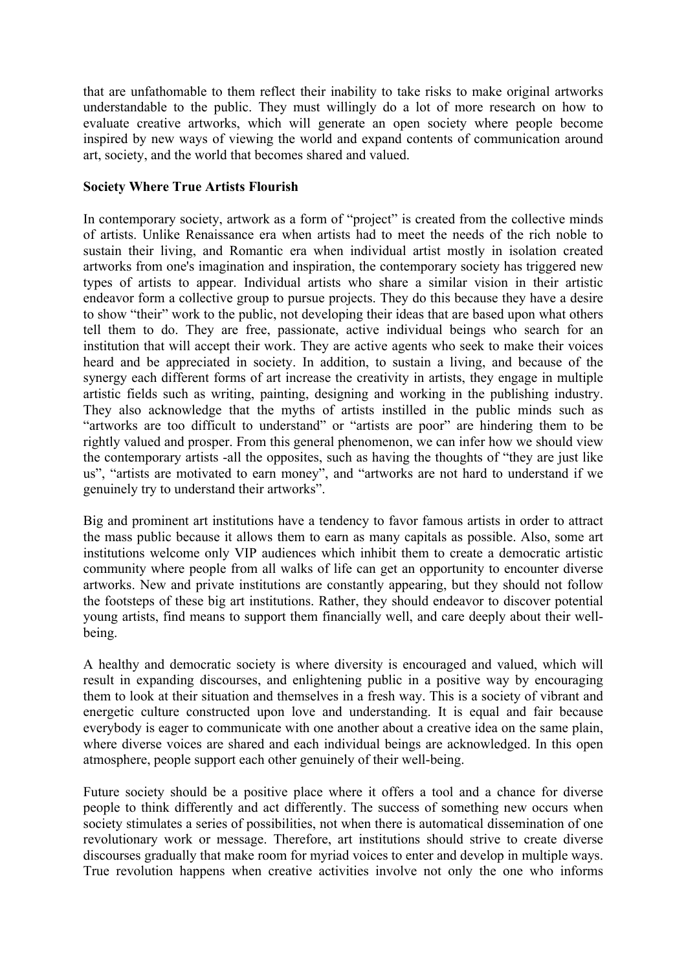that are unfathomable to them reflect their inability to take risks to make original artworks understandable to the public. They must willingly do a lot of more research on how to evaluate creative artworks, which will generate an open society where people become inspired by new ways of viewing the world and expand contents of communication around art, society, and the world that becomes shared and valued.

### **Society Where True Artists Flourish**

In contemporary society, artwork as a form of "project" is created from the collective minds of artists. Unlike Renaissance era when artists had to meet the needs of the rich noble to sustain their living, and Romantic era when individual artist mostly in isolation created artworks from one's imagination and inspiration, the contemporary society has triggered new types of artists to appear. Individual artists who share a similar vision in their artistic endeavor form a collective group to pursue projects. They do this because they have a desire to show "their" work to the public, not developing their ideas that are based upon what others tell them to do. They are free, passionate, active individual beings who search for an institution that will accept their work. They are active agents who seek to make their voices heard and be appreciated in society. In addition, to sustain a living, and because of the synergy each different forms of art increase the creativity in artists, they engage in multiple artistic fields such as writing, painting, designing and working in the publishing industry. They also acknowledge that the myths of artists instilled in the public minds such as "artworks are too difficult to understand" or "artists are poor" are hindering them to be rightly valued and prosper. From this general phenomenon, we can infer how we should view the contemporary artists -all the opposites, such as having the thoughts of "they are just like us", "artists are motivated to earn money", and "artworks are not hard to understand if we genuinely try to understand their artworks".

Big and prominent art institutions have a tendency to favor famous artists in order to attract the mass public because it allows them to earn as many capitals as possible. Also, some art institutions welcome only VIP audiences which inhibit them to create a democratic artistic community where people from all walks of life can get an opportunity to encounter diverse artworks. New and private institutions are constantly appearing, but they should not follow the footsteps of these big art institutions. Rather, they should endeavor to discover potential young artists, find means to support them financially well, and care deeply about their wellbeing.

A healthy and democratic society is where diversity is encouraged and valued, which will result in expanding discourses, and enlightening public in a positive way by encouraging them to look at their situation and themselves in a fresh way. This is a society of vibrant and energetic culture constructed upon love and understanding. It is equal and fair because everybody is eager to communicate with one another about a creative idea on the same plain, where diverse voices are shared and each individual beings are acknowledged. In this open atmosphere, people support each other genuinely of their well-being.

Future society should be a positive place where it offers a tool and a chance for diverse people to think differently and act differently. The success of something new occurs when society stimulates a series of possibilities, not when there is automatical dissemination of one revolutionary work or message. Therefore, art institutions should strive to create diverse discourses gradually that make room for myriad voices to enter and develop in multiple ways. True revolution happens when creative activities involve not only the one who informs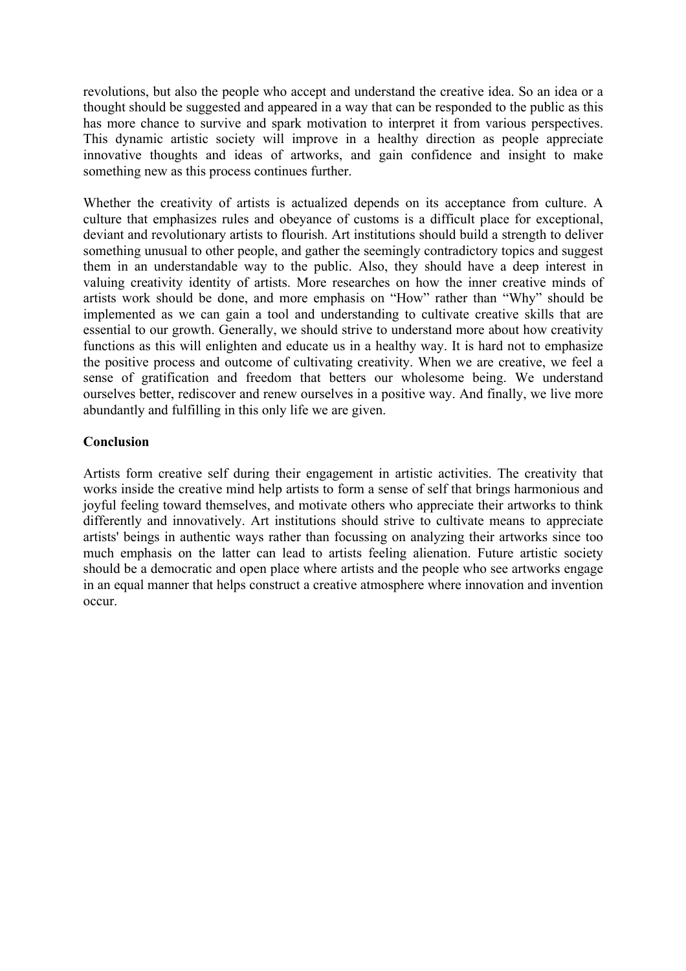revolutions, but also the people who accept and understand the creative idea. So an idea or a thought should be suggested and appeared in a way that can be responded to the public as this has more chance to survive and spark motivation to interpret it from various perspectives. This dynamic artistic society will improve in a healthy direction as people appreciate innovative thoughts and ideas of artworks, and gain confidence and insight to make something new as this process continues further.

Whether the creativity of artists is actualized depends on its acceptance from culture. A culture that emphasizes rules and obeyance of customs is a difficult place for exceptional, deviant and revolutionary artists to flourish. Art institutions should build a strength to deliver something unusual to other people, and gather the seemingly contradictory topics and suggest them in an understandable way to the public. Also, they should have a deep interest in valuing creativity identity of artists. More researches on how the inner creative minds of artists work should be done, and more emphasis on "How" rather than "Why" should be implemented as we can gain a tool and understanding to cultivate creative skills that are essential to our growth. Generally, we should strive to understand more about how creativity functions as this will enlighten and educate us in a healthy way. It is hard not to emphasize the positive process and outcome of cultivating creativity. When we are creative, we feel a sense of gratification and freedom that betters our wholesome being. We understand ourselves better, rediscover and renew ourselves in a positive way. And finally, we live more abundantly and fulfilling in this only life we are given.

# **Conclusion**

Artists form creative self during their engagement in artistic activities. The creativity that works inside the creative mind help artists to form a sense of self that brings harmonious and joyful feeling toward themselves, and motivate others who appreciate their artworks to think differently and innovatively. Art institutions should strive to cultivate means to appreciate artists' beings in authentic ways rather than focussing on analyzing their artworks since too much emphasis on the latter can lead to artists feeling alienation. Future artistic society should be a democratic and open place where artists and the people who see artworks engage in an equal manner that helps construct a creative atmosphere where innovation and invention occur.